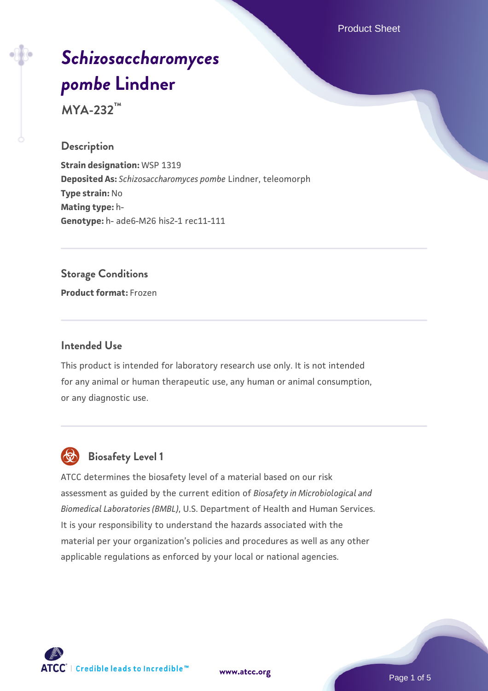Product Sheet

# *[Schizosaccharomyces](https://www.atcc.org/products/mya-232) [pombe](https://www.atcc.org/products/mya-232)* **[Lindner](https://www.atcc.org/products/mya-232)**

**MYA-232™**

#### **Description**

**Strain designation:** WSP 1319 **Deposited As:** *Schizosaccharomyces pombe* Lindner, teleomorph **Type strain:** No **Mating type:** h-**Genotype:** h- ade6-M26 his2-1 rec11-111

**Storage Conditions Product format:** Frozen

#### **Intended Use**

This product is intended for laboratory research use only. It is not intended for any animal or human therapeutic use, any human or animal consumption, or any diagnostic use.



# **Biosafety Level 1**

ATCC determines the biosafety level of a material based on our risk assessment as guided by the current edition of *Biosafety in Microbiological and Biomedical Laboratories (BMBL)*, U.S. Department of Health and Human Services. It is your responsibility to understand the hazards associated with the material per your organization's policies and procedures as well as any other applicable regulations as enforced by your local or national agencies.



**[www.atcc.org](http://www.atcc.org)**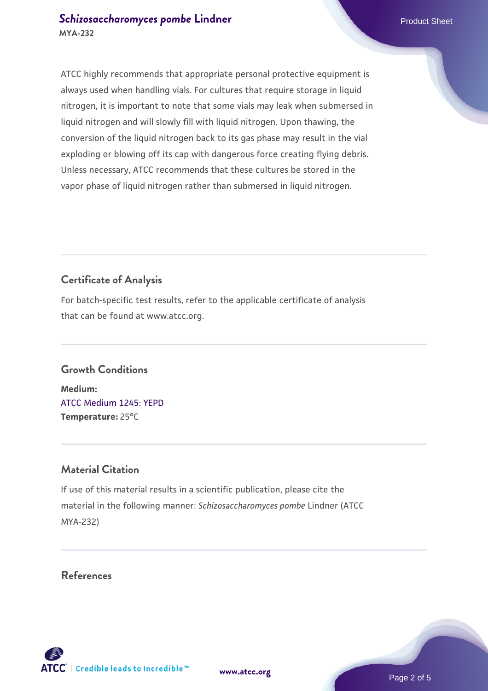### **[Schizosaccharomyces pombe](https://www.atcc.org/products/mya-232)** [Lindner](https://www.atcc.org/products/mya-232) **Product Sheet** Product Sheet **MYA-232**

ATCC highly recommends that appropriate personal protective equipment is always used when handling vials. For cultures that require storage in liquid nitrogen, it is important to note that some vials may leak when submersed in liquid nitrogen and will slowly fill with liquid nitrogen. Upon thawing, the conversion of the liquid nitrogen back to its gas phase may result in the vial exploding or blowing off its cap with dangerous force creating flying debris. Unless necessary, ATCC recommends that these cultures be stored in the vapor phase of liquid nitrogen rather than submersed in liquid nitrogen.

# **Certificate of Analysis**

For batch-specific test results, refer to the applicable certificate of analysis that can be found at www.atcc.org.

#### **Growth Conditions**

**Medium:**  [ATCC Medium 1245: YEPD](https://www.atcc.org/-/media/product-assets/documents/microbial-media-formulations/1/2/4/5/atcc-medium-1245.pdf?rev=705ca55d1b6f490a808a965d5c072196) **Temperature:** 25°C

# **Material Citation**

If use of this material results in a scientific publication, please cite the material in the following manner: *Schizosaccharomyces pombe* Lindner (ATCC MYA-232)

#### **References**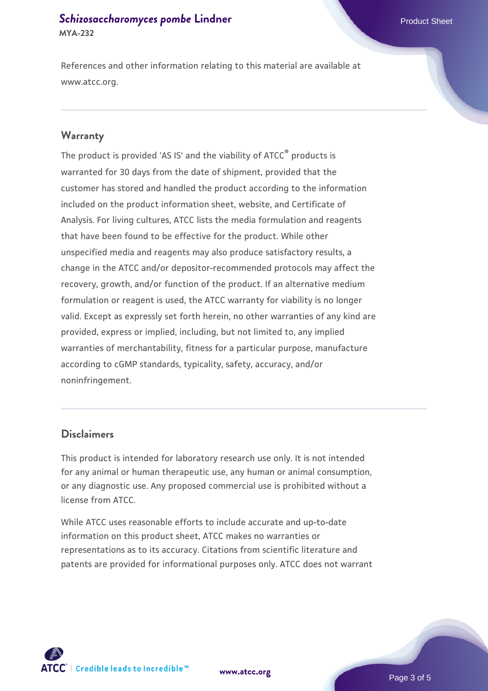#### **[Schizosaccharomyces pombe](https://www.atcc.org/products/mya-232)** [Lindner](https://www.atcc.org/products/mya-232) **Product Sheet** Product Sheet **MYA-232**

References and other information relating to this material are available at www.atcc.org.

#### **Warranty**

The product is provided 'AS IS' and the viability of ATCC® products is warranted for 30 days from the date of shipment, provided that the customer has stored and handled the product according to the information included on the product information sheet, website, and Certificate of Analysis. For living cultures, ATCC lists the media formulation and reagents that have been found to be effective for the product. While other unspecified media and reagents may also produce satisfactory results, a change in the ATCC and/or depositor-recommended protocols may affect the recovery, growth, and/or function of the product. If an alternative medium formulation or reagent is used, the ATCC warranty for viability is no longer valid. Except as expressly set forth herein, no other warranties of any kind are provided, express or implied, including, but not limited to, any implied warranties of merchantability, fitness for a particular purpose, manufacture according to cGMP standards, typicality, safety, accuracy, and/or noninfringement.

#### **Disclaimers**

This product is intended for laboratory research use only. It is not intended for any animal or human therapeutic use, any human or animal consumption, or any diagnostic use. Any proposed commercial use is prohibited without a license from ATCC.

While ATCC uses reasonable efforts to include accurate and up-to-date information on this product sheet, ATCC makes no warranties or representations as to its accuracy. Citations from scientific literature and patents are provided for informational purposes only. ATCC does not warrant





Page 3 of 5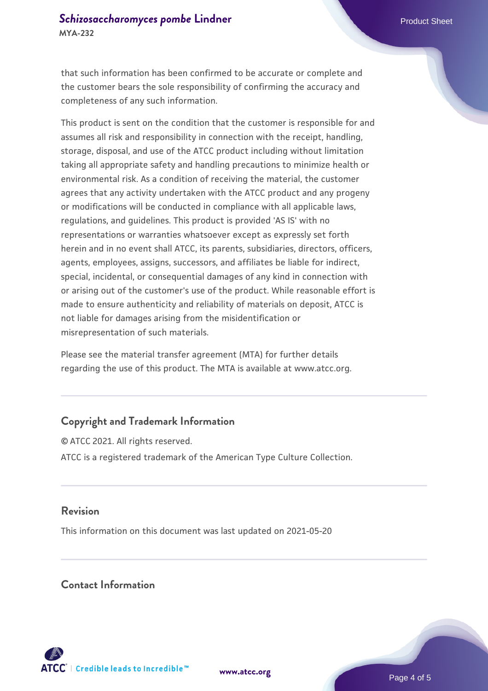that such information has been confirmed to be accurate or complete and the customer bears the sole responsibility of confirming the accuracy and completeness of any such information.

This product is sent on the condition that the customer is responsible for and assumes all risk and responsibility in connection with the receipt, handling, storage, disposal, and use of the ATCC product including without limitation taking all appropriate safety and handling precautions to minimize health or environmental risk. As a condition of receiving the material, the customer agrees that any activity undertaken with the ATCC product and any progeny or modifications will be conducted in compliance with all applicable laws, regulations, and guidelines. This product is provided 'AS IS' with no representations or warranties whatsoever except as expressly set forth herein and in no event shall ATCC, its parents, subsidiaries, directors, officers, agents, employees, assigns, successors, and affiliates be liable for indirect, special, incidental, or consequential damages of any kind in connection with or arising out of the customer's use of the product. While reasonable effort is made to ensure authenticity and reliability of materials on deposit, ATCC is not liable for damages arising from the misidentification or misrepresentation of such materials.

Please see the material transfer agreement (MTA) for further details regarding the use of this product. The MTA is available at www.atcc.org.

# **Copyright and Trademark Information**

© ATCC 2021. All rights reserved. ATCC is a registered trademark of the American Type Culture Collection.

#### **Revision**

This information on this document was last updated on 2021-05-20

# **Contact Information**